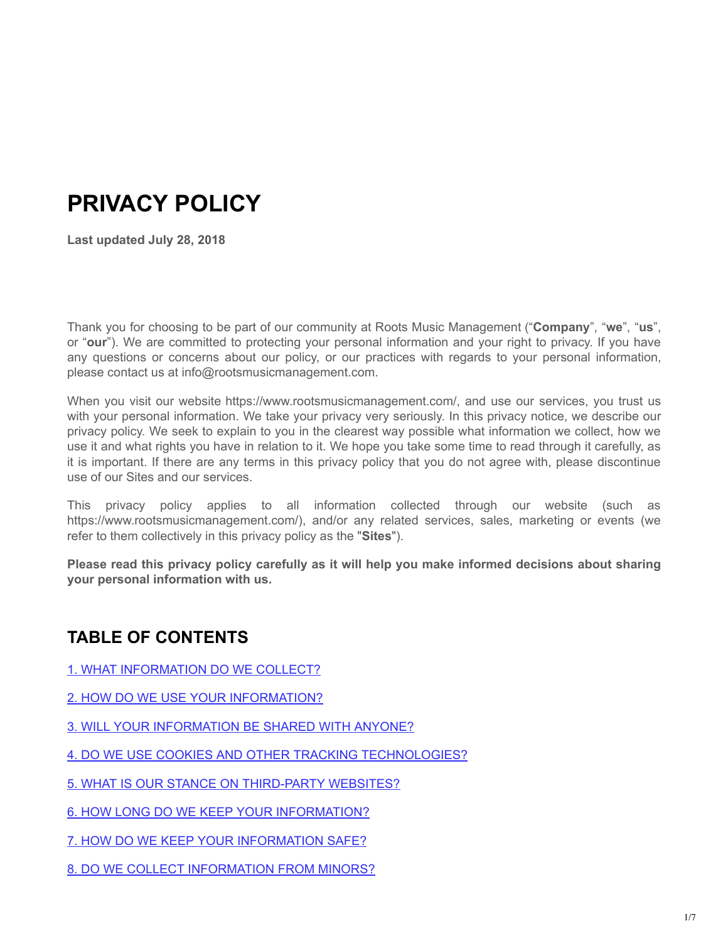# **PRIVACY POLICY**

**Last updated July 28, 2018**

Thank you for choosing to be part of our community at Roots Music Management ("**Company**", "**we**", "**us**", or "**our**"). We are committed to protecting your personal information and your right to privacy. If you have any questions or concerns about our policy, or our practices with regards to your personal information, please contact us at info@rootsmusicmanagement.com.

When you visit our website https://www.rootsmusicmanagement.com/, and use our services, you trust us with your personal information. We take your privacy very seriously. In this privacy notice, we describe our privacy policy. We seek to explain to you in the clearest way possible what information we collect, how we use it and what rights you have in relation to it. We hope you take some time to read through it carefully, as it is important. If there are any terms in this privacy policy that you do not agree with, please discontinue use of our Sites and our services.

This privacy policy applies to all information collected through our website (such as https://www.rootsmusicmanagement.com/), and/or any related services, sales, marketing or events (we refer to them collectively in this privacy policy as the "**Sites**").

**Please read this privacy policy carefully as it will help you make informed decisions about sharing your personal information with us.** 

# **TABLE OF CONTENTS**

- [1. WHAT INFORMATION DO WE COLLECT?](#page-1-0)
- [2. HOW DO WE USE YOUR INFORMATION?](#page-2-0)
- [3. WILL YOUR INFORMATION BE SHARED WITH ANYONE?](#page-3-0)
- [4. DO WE USE COOKIES AND OTHER TRACKING TECHNOLOGIES?](#page-3-1)
- 5. WHAT IS OUR STANCE ON THIRD-PARTY WEBSITES?
- [6. HOW LONG DO WE KEEP YOUR INFORMATION?](#page-4-1)
- [7. HOW DO WE KEEP YOUR INFORMATION SAFE?](#page-4-2)
- [8. DO WE COLLECT INFORMATION FROM MINORS?](#page-4-3)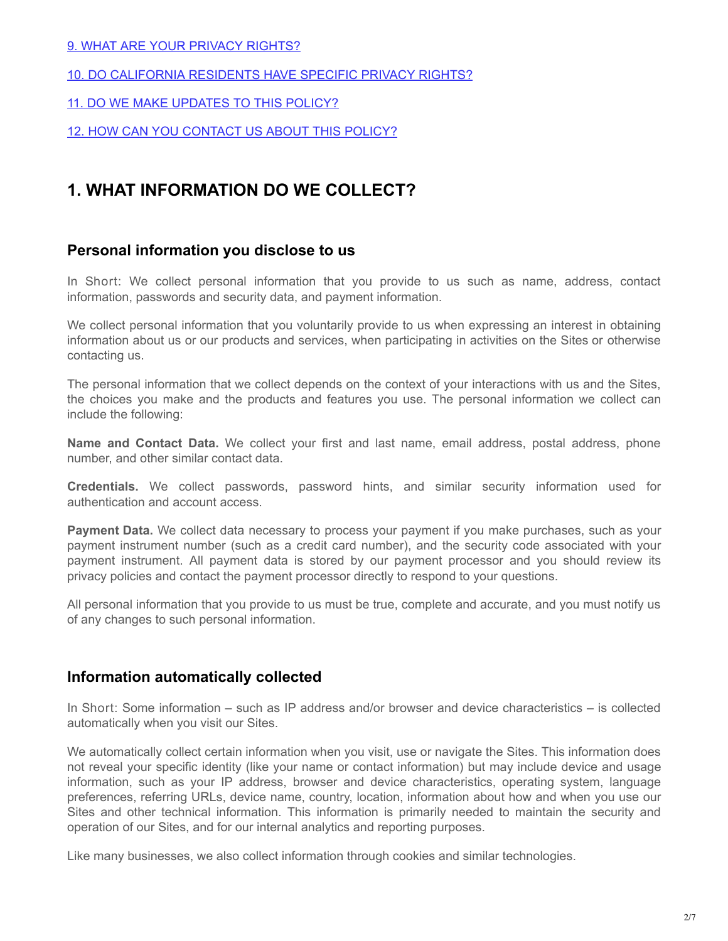#### [9. WHAT ARE YOUR PRIVACY RIGHTS?](#page-5-0)

- [10. DO CALIFORNIA RESIDENTS HAVE SPECIFIC PRIVACY RIGHTS?](#page-5-1)
- [11. DO WE MAKE UPDATES TO THIS POLICY?](#page-5-2)

[12. HOW CAN YOU CONTACT US ABOUT THIS POLICY?](#page-5-3)

### <span id="page-1-0"></span>**1. WHAT INFORMATION DO WE COLLECT?**

#### **Personal information you disclose to us**

In Short: We collect personal information that you provide to us such as name, address, contact information, passwords and security data, and payment information.

We collect personal information that you voluntarily provide to us when expressing an interest in obtaining information about us or our products and services, when participating in activities on the Sites or otherwise contacting us.

The personal information that we collect depends on the context of your interactions with us and the Sites, the choices you make and the products and features you use. The personal information we collect can include the following:

**Name and Contact Data.** We collect your first and last name, email address, postal address, phone number, and other similar contact data.

**Credentials.** We collect passwords, password hints, and similar security information used for authentication and account access.

**Payment Data.** We collect data necessary to process your payment if you make purchases, such as your payment instrument number (such as a credit card number), and the security code associated with your payment instrument. All payment data is stored by our payment processor and you should review its privacy policies and contact the payment processor directly to respond to your questions.

All personal information that you provide to us must be true, complete and accurate, and you must notify us of any changes to such personal information.

#### **Information automatically collected**

In Short: Some information – such as IP address and/or browser and device characteristics – is collected automatically when you visit our Sites.

We automatically collect certain information when you visit, use or navigate the Sites. This information does not reveal your specific identity (like your name or contact information) but may include device and usage information, such as your IP address, browser and device characteristics, operating system, language preferences, referring URLs, device name, country, location, information about how and when you use our Sites and other technical information. This information is primarily needed to maintain the security and operation of our Sites, and for our internal analytics and reporting purposes.

Like many businesses, we also collect information through cookies and similar technologies.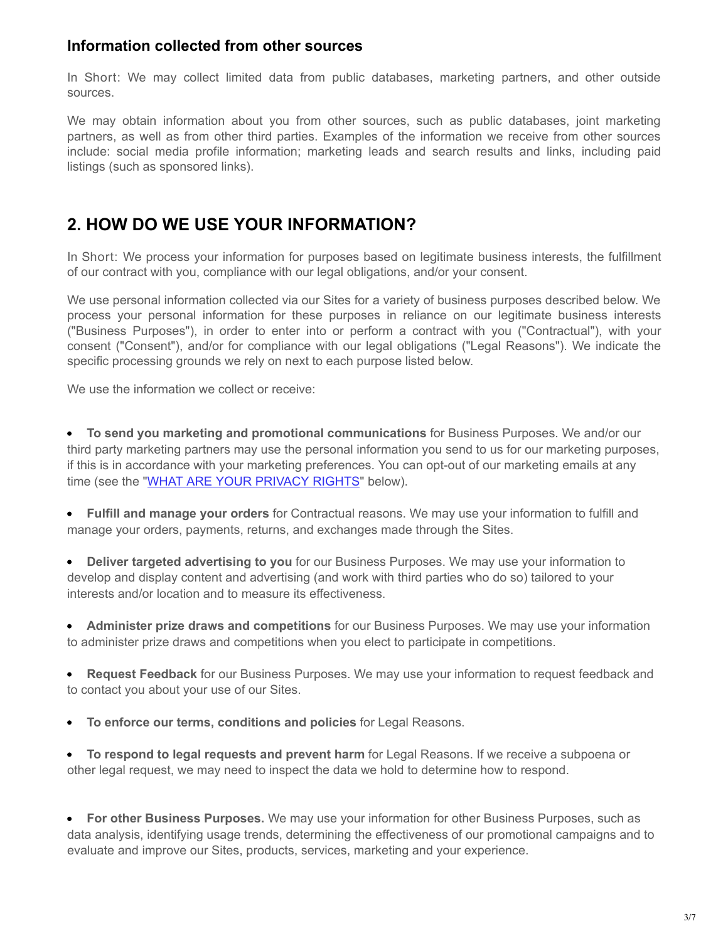#### **Information collected from other sources**

In Short: We may collect limited data from public databases, marketing partners, and other outside sources.

We may obtain information about you from other sources, such as public databases, joint marketing partners, as well as from other third parties. Examples of the information we receive from other sources include: social media profile information; marketing leads and search results and links, including paid listings (such as sponsored links).

# <span id="page-2-0"></span>**2. HOW DO WE USE YOUR INFORMATION?**

In Short: We process your information for purposes based on legitimate business interests, the fulfillment of our contract with you, compliance with our legal obligations, and/or your consent.

We use personal information collected via our Sites for a variety of business purposes described below. We process your personal information for these purposes in reliance on our legitimate business interests ("Business Purposes"), in order to enter into or perform a contract with you ("Contractual"), with your consent ("Consent"), and/or for compliance with our legal obligations ("Legal Reasons"). We indicate the specific processing grounds we rely on next to each purpose listed below.

We use the information we collect or receive:

**To send you marketing and promotional communications** for Business Purposes. We and/or our third party marketing partners may use the personal information you send to us for our marketing purposes, if this is in accordance with your marketing preferences. You can opt-out of our marketing emails at any time (see the "[WHAT ARE YOUR PRIVACY RIGHTS"](#page-5-0) below).

**Fulfill and manage your orders** for Contractual reasons. We may use your information to fulfill and manage your orders, payments, returns, and exchanges made through the Sites.

**Deliver targeted advertising to you** for our Business Purposes. We may use your information to  $\bullet$ develop and display content and advertising (and work with third parties who do so) tailored to your interests and/or location and to measure its effectiveness.

**Administer prize draws and competitions** for our Business Purposes. We may use your information to administer prize draws and competitions when you elect to participate in competitions.

**Request Feedback** for our Business Purposes. We may use your information to request feedback and to contact you about your use of our Sites.

**To enforce our terms, conditions and policies** for Legal Reasons.

**To respond to legal requests and prevent harm** for Legal Reasons. If we receive a subpoena or other legal request, we may need to inspect the data we hold to determine how to respond.

**For other Business Purposes.** We may use your information for other Business Purposes, such as data analysis, identifying usage trends, determining the effectiveness of our promotional campaigns and to evaluate and improve our Sites, products, services, marketing and your experience.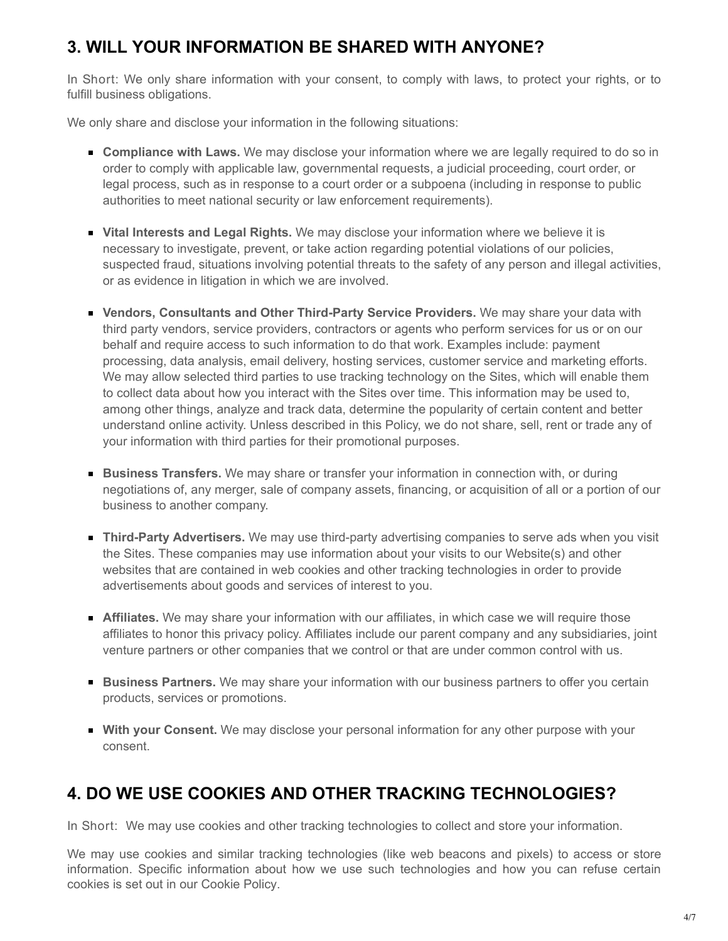# <span id="page-3-0"></span>**3. WILL YOUR INFORMATION BE SHARED WITH ANYONE?**

In Short: We only share information with your consent, to comply with laws, to protect your rights, or to fulfill business obligations.

We only share and disclose your information in the following situations:

- **Compliance with Laws.** We may disclose your information where we are legally required to do so in order to comply with applicable law, governmental requests, a judicial proceeding, court order, or legal process, such as in response to a court order or a subpoena (including in response to public authorities to meet national security or law enforcement requirements).
- **Vital Interests and Legal Rights.** We may disclose your information where we believe it is necessary to investigate, prevent, or take action regarding potential violations of our policies, suspected fraud, situations involving potential threats to the safety of any person and illegal activities, or as evidence in litigation in which we are involved.
- **Vendors, Consultants and Other Third-Party Service Providers.** We may share your data with third party vendors, service providers, contractors or agents who perform services for us or on our behalf and require access to such information to do that work. Examples include: payment processing, data analysis, email delivery, hosting services, customer service and marketing efforts. We may allow selected third parties to use tracking technology on the Sites, which will enable them to collect data about how you interact with the Sites over time. This information may be used to, among other things, analyze and track data, determine the popularity of certain content and better understand online activity. Unless described in this Policy, we do not share, sell, rent or trade any of your information with third parties for their promotional purposes.
- **Business Transfers.** We may share or transfer your information in connection with, or during negotiations of, any merger, sale of company assets, financing, or acquisition of all or a portion of our business to another company.
- **Third-Party Advertisers.** We may use third-party advertising companies to serve ads when you visit the Sites. These companies may use information about your visits to our Website(s) and other websites that are contained in web cookies and other tracking technologies in order to provide advertisements about goods and services of interest to you.
- **Affiliates.** We may share your information with our affiliates, in which case we will require those affiliates to honor this privacy policy. Affiliates include our parent company and any subsidiaries, joint venture partners or other companies that we control or that are under common control with us.
- **Business Partners.** We may share your information with our business partners to offer you certain products, services or promotions.
- **With your Consent.** We may disclose your personal information for any other purpose with your consent.

# <span id="page-3-1"></span>**4. DO WE USE COOKIES AND OTHER TRACKING TECHNOLOGIES?**

In Short: We may use cookies and other tracking technologies to collect and store your information.

We may use cookies and similar tracking technologies (like web beacons and pixels) to access or store information. Specific information about how we use such technologies and how you can refuse certain cookies is set out in our Cookie Policy.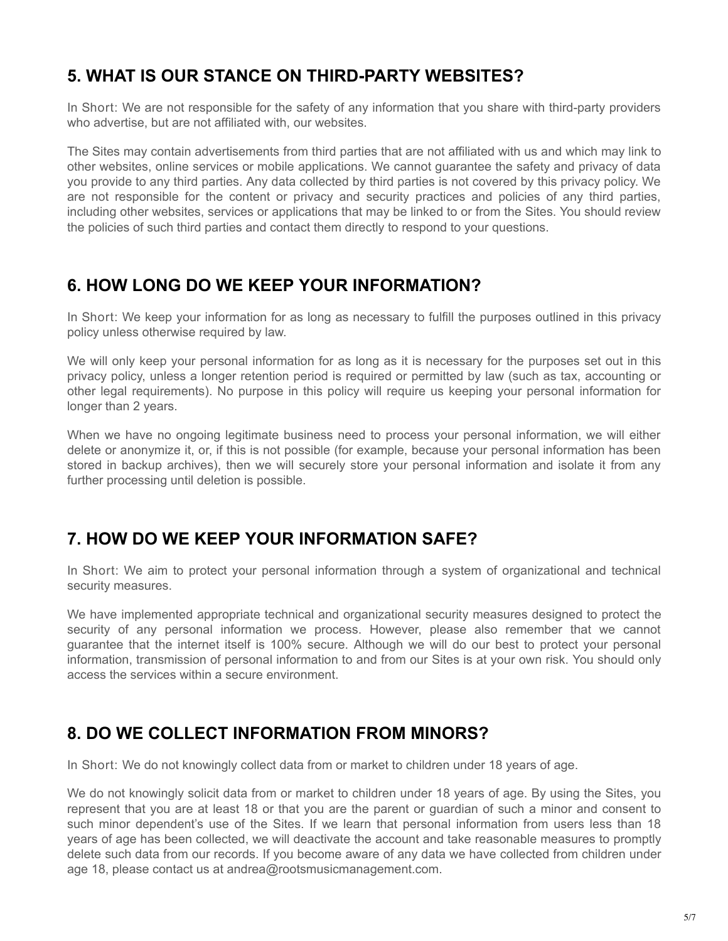# <span id="page-4-0"></span>**5. WHAT IS OUR STANCE ON THIRD-PARTY WEBSITES?**

In Short: We are not responsible for the safety of any information that you share with third-party providers who advertise, but are not affiliated with, our websites.

The Sites may contain advertisements from third parties that are not affiliated with us and which may link to other websites, online services or mobile applications. We cannot guarantee the safety and privacy of data you provide to any third parties. Any data collected by third parties is not covered by this privacy policy. We are not responsible for the content or privacy and security practices and policies of any third parties, including other websites, services or applications that may be linked to or from the Sites. You should review the policies of such third parties and contact them directly to respond to your questions.

### <span id="page-4-1"></span>**6. HOW LONG DO WE KEEP YOUR INFORMATION?**

In Short: We keep your information for as long as necessary to fulfill the purposes outlined in this privacy policy unless otherwise required by law.

We will only keep your personal information for as long as it is necessary for the purposes set out in this privacy policy, unless a longer retention period is required or permitted by law (such as tax, accounting or other legal requirements). No purpose in this policy will require us keeping your personal information for longer than 2 years.

When we have no ongoing legitimate business need to process your personal information, we will either delete or anonymize it, or, if this is not possible (for example, because your personal information has been stored in backup archives), then we will securely store your personal information and isolate it from any further processing until deletion is possible.

# <span id="page-4-2"></span>**7. HOW DO WE KEEP YOUR INFORMATION SAFE?**

In Short: We aim to protect your personal information through a system of organizational and technical security measures.

We have implemented appropriate technical and organizational security measures designed to protect the security of any personal information we process. However, please also remember that we cannot guarantee that the internet itself is 100% secure. Although we will do our best to protect your personal information, transmission of personal information to and from our Sites is at your own risk. You should only access the services within a secure environment.

### <span id="page-4-3"></span>**8. DO WE COLLECT INFORMATION FROM MINORS?**

In Short: We do not knowingly collect data from or market to children under 18 years of age.

We do not knowingly solicit data from or market to children under 18 years of age. By using the Sites, you represent that you are at least 18 or that you are the parent or guardian of such a minor and consent to such minor dependent's use of the Sites. If we learn that personal information from users less than 18 years of age has been collected, we will deactivate the account and take reasonable measures to promptly delete such data from our records. If you become aware of any data we have collected from children under age 18, please contact us at andrea@rootsmusicmanagement.com.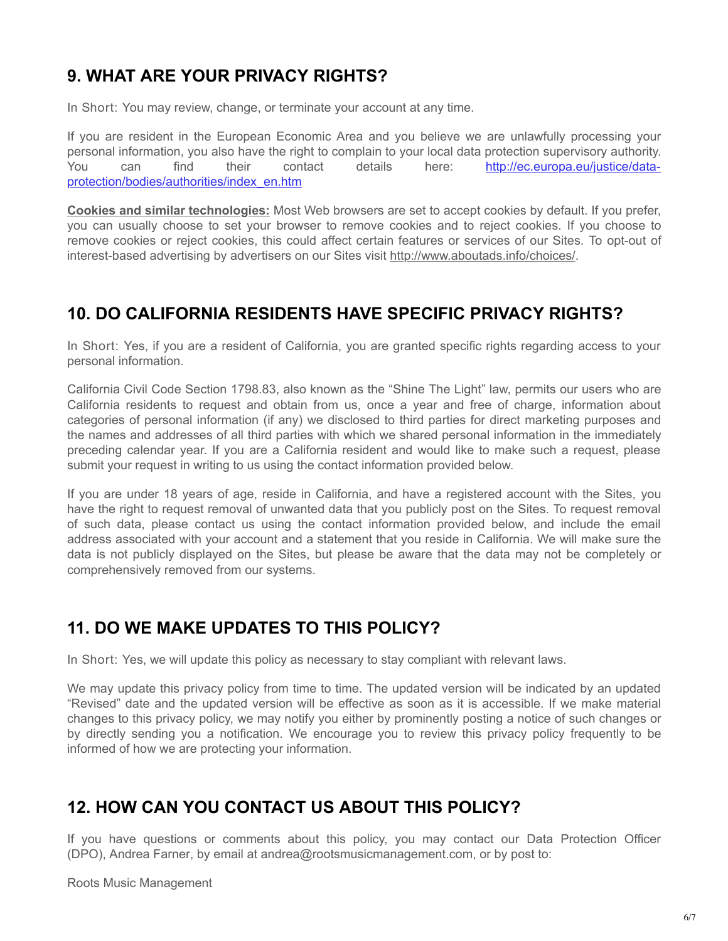# <span id="page-5-0"></span>**9. WHAT ARE YOUR PRIVACY RIGHTS?**

In Short: You may review, change, or terminate your account at any time.

If you are resident in the European Economic Area and you believe we are unlawfully processing your personal information, you also have the right to complain to your local data protection supervisory authority. You can find their contact details here: http://ec.europa.eu/justice/data[protection/bodies/authorities/index\\_en.htm](http://ec.europa.eu/justice/data-protection/bodies/authorities/index_en.htm)

**Cookies and similar technologies:** Most Web browsers are set to accept cookies by default. If you prefer, you can usually choose to set your browser to remove cookies and to reject cookies. If you choose to remove cookies or reject cookies, this could affect certain features or services of our Sites. To opt-out of interest-based advertising by advertisers on our Sites visit<http://www.aboutads.info/choices/>.

# <span id="page-5-1"></span>**10. DO CALIFORNIA RESIDENTS HAVE SPECIFIC PRIVACY RIGHTS?**

In Short: Yes, if you are a resident of California, you are granted specific rights regarding access to your personal information.

California Civil Code Section 1798.83, also known as the "Shine The Light" law, permits our users who are California residents to request and obtain from us, once a year and free of charge, information about categories of personal information (if any) we disclosed to third parties for direct marketing purposes and the names and addresses of all third parties with which we shared personal information in the immediately preceding calendar year. If you are a California resident and would like to make such a request, please submit your request in writing to us using the contact information provided below.

If you are under 18 years of age, reside in California, and have a registered account with the Sites, you have the right to request removal of unwanted data that you publicly post on the Sites. To request removal of such data, please contact us using the contact information provided below, and include the email address associated with your account and a statement that you reside in California. We will make sure the data is not publicly displayed on the Sites, but please be aware that the data may not be completely or comprehensively removed from our systems.

### <span id="page-5-2"></span>**11. DO WE MAKE UPDATES TO THIS POLICY?**

In Short: Yes, we will update this policy as necessary to stay compliant with relevant laws.

We may update this privacy policy from time to time. The updated version will be indicated by an updated "Revised" date and the updated version will be effective as soon as it is accessible. If we make material changes to this privacy policy, we may notify you either by prominently posting a notice of such changes or by directly sending you a notification. We encourage you to review this privacy policy frequently to be informed of how we are protecting your information.

# <span id="page-5-3"></span>**12. HOW CAN YOU CONTACT US ABOUT THIS POLICY?**

If you have questions or comments about this policy, you may contact our Data Protection Officer (DPO), Andrea Farner, by email at andrea@rootsmusicmanagement.com, or by post to:

Roots Music Management